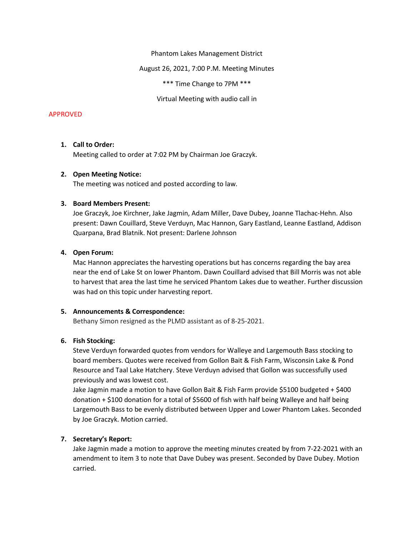Phantom Lakes Management District

August 26, 2021, 7:00 P.M. Meeting Minutes

\*\*\* Time Change to 7PM \*\*\*

Virtual Meeting with audio call in

#### APPROVED

## 1. Call to Order:

Meeting called to order at 7:02 PM by Chairman Joe Graczyk.

#### 2. Open Meeting Notice:

The meeting was noticed and posted according to law.

### 3. Board Members Present:

Joe Graczyk, Joe Kirchner, Jake Jagmin, Adam Miller, Dave Dubey, Joanne Tlachac-Hehn. Also present: Dawn Couillard, Steve Verduyn, Mac Hannon, Gary Eastland, Leanne Eastland, Addison Quarpana, Brad Blatnik. Not present: Darlene Johnson

#### 4. Open Forum:

Mac Hannon appreciates the harvesting operations but has concerns regarding the bay area near the end of Lake St on lower Phantom. Dawn Couillard advised that Bill Morris was not able to harvest that area the last time he serviced Phantom Lakes due to weather. Further discussion was had on this topic under harvesting report.

#### 5. Announcements & Correspondence:

Bethany Simon resigned as the PLMD assistant as of 8-25-2021.

## 6. Fish Stocking:

Steve Verduyn forwarded quotes from vendors for Walleye and Largemouth Bass stocking to board members. Quotes were received from Gollon Bait & Fish Farm, Wisconsin Lake & Pond Resource and Taal Lake Hatchery. Steve Verduyn advised that Gollon was successfully used previously and was lowest cost.

Jake Jagmin made a motion to have Gollon Bait & Fish Farm provide \$5100 budgeted + \$400 donation + \$100 donation for a total of \$5600 of fish with half being Walleye and half being Largemouth Bass to be evenly distributed between Upper and Lower Phantom Lakes. Seconded by Joe Graczyk. Motion carried.

## 7. Secretary's Report:

Jake Jagmin made a motion to approve the meeting minutes created by from 7-22-2021 with an amendment to item 3 to note that Dave Dubey was present. Seconded by Dave Dubey. Motion carried.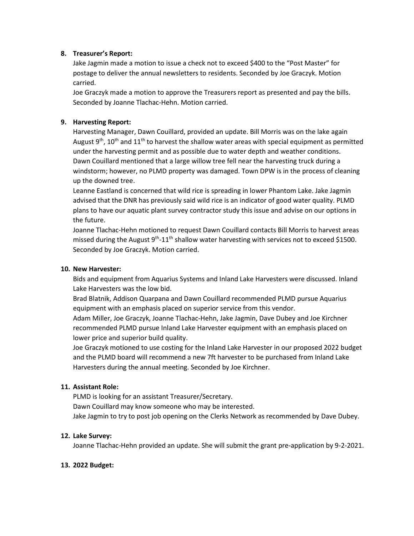## 8. Treasurer's Report:

Jake Jagmin made a motion to issue a check not to exceed \$400 to the "Post Master" for postage to deliver the annual newsletters to residents. Seconded by Joe Graczyk. Motion carried.

Joe Graczyk made a motion to approve the Treasurers report as presented and pay the bills. Seconded by Joanne Tlachac-Hehn. Motion carried.

# 9. Harvesting Report:

Harvesting Manager, Dawn Couillard, provided an update. Bill Morris was on the lake again August  $9<sup>th</sup>$ , 10<sup>th</sup> and 11<sup>th</sup> to harvest the shallow water areas with special equipment as permitted under the harvesting permit and as possible due to water depth and weather conditions. Dawn Couillard mentioned that a large willow tree fell near the harvesting truck during a windstorm; however, no PLMD property was damaged. Town DPW is in the process of cleaning up the downed tree.

Leanne Eastland is concerned that wild rice is spreading in lower Phantom Lake. Jake Jagmin advised that the DNR has previously said wild rice is an indicator of good water quality. PLMD plans to have our aquatic plant survey contractor study this issue and advise on our options in the future.

Joanne Tlachac-Hehn motioned to request Dawn Couillard contacts Bill Morris to harvest areas missed during the August  $9<sup>th</sup> - 11<sup>th</sup>$  shallow water harvesting with services not to exceed \$1500. Seconded by Joe Graczyk. Motion carried.

## 10. New Harvester:

Bids and equipment from Aquarius Systems and Inland Lake Harvesters were discussed. Inland Lake Harvesters was the low bid.

Brad Blatnik, Addison Quarpana and Dawn Couillard recommended PLMD pursue Aquarius equipment with an emphasis placed on superior service from this vendor.

Adam Miller, Joe Graczyk, Joanne Tlachac-Hehn, Jake Jagmin, Dave Dubey and Joe Kirchner recommended PLMD pursue Inland Lake Harvester equipment with an emphasis placed on lower price and superior build quality.

Joe Graczyk motioned to use costing for the Inland Lake Harvester in our proposed 2022 budget and the PLMD board will recommend a new 7ft harvester to be purchased from Inland Lake Harvesters during the annual meeting. Seconded by Joe Kirchner.

# 11. Assistant Role:

PLMD is looking for an assistant Treasurer/Secretary. Dawn Couillard may know someone who may be interested. Jake Jagmin to try to post job opening on the Clerks Network as recommended by Dave Dubey.

# 12. Lake Survey:

Joanne Tlachac-Hehn provided an update. She will submit the grant pre-application by 9-2-2021.

# 13. 2022 Budget: